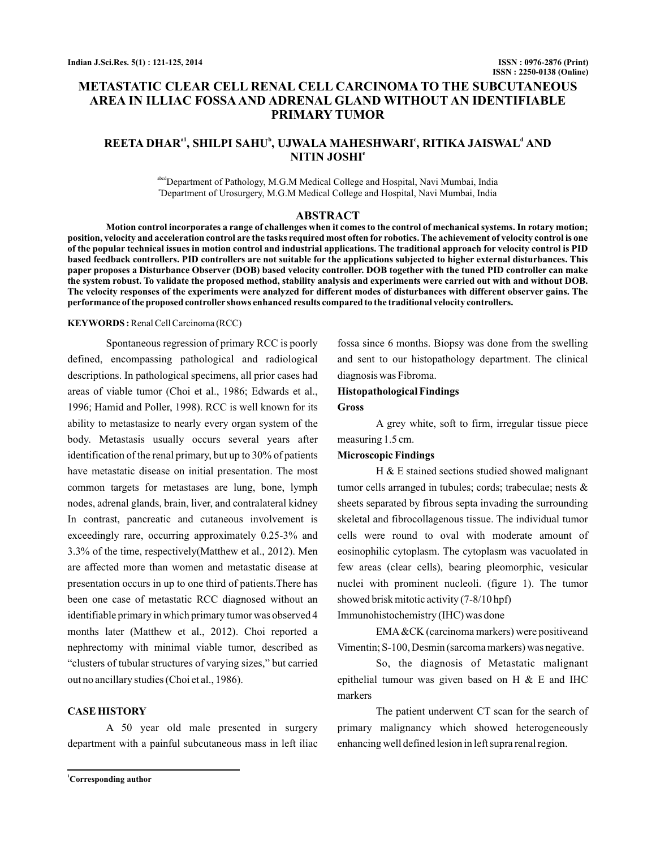# **METASTATIC CLEAR CELL RENAL CELL CARCINOMA TO THE SUBCUTANEOUS AREA IN ILLIAC FOSSA AND ADRENAL GLAND WITHOUT AN IDENTIFIABLE PRIMARY TUMOR**

# $\mathbf{R}\mathbf{EETA}$   $\mathbf{D}\mathbf{HAR}^{a1}$ ,  $\mathbf{SHILPI}$   $\mathbf{SAHU}^{b}$ ,  $\mathbf{UJWALA}$   $\mathbf{MAHESHWARI}^{c}$ ,  $\mathbf{RITIKA}$   $\mathbf{JAISWAL}^{d}$   $\mathbf{AND}$ **NITIN JOSHI e**

abcdDepartment of Pathology, M.G.M Medical College and Hospital, Navi Mumbai, India e Department of Urosurgery, M.G.M Medical College and Hospital, Navi Mumbai, India

#### **ABSTRACT**

**Motion control incorporates a range of challenges when it comes to the control of mechanical systems. In rotary motion; position, velocity and acceleration control are the tasks required most often for robotics. The achievement of velocity control is one of the popular technical issues in motion control and industrial applications. The traditional approach for velocity control is PID based feedback controllers. PID controllers are not suitable for the applications subjected to higher external disturbances. This paper proposes a Disturbance Observer (DOB) based velocity controller. DOB together with the tuned PID controller can make the system robust. To validate the proposed method, stability analysis and experiments were carried out with and without DOB. The velocity responses of the experiments were analyzed for different modes of disturbances with different observer gains. The performance of the proposed controller shows enhanced results compared to the traditional velocity controllers.**

#### **KEYWORDS :**Renal Cell Carcinoma (RCC)

Spontaneous regression of primary RCC is poorly defined, encompassing pathological and radiological descriptions. In pathological specimens, all prior cases had areas of viable tumor (Choi et al., 1986; Edwards et al., 1996; Hamid and Poller, 1998). RCC is well known for its ability to metastasize to nearly every organ system of the body. Metastasis usually occurs several years after identification of the renal primary, but up to 30% of patients have metastatic disease on initial presentation. The most common targets for metastases are lung, bone, lymph nodes, adrenal glands, brain, liver, and contralateral kidney In contrast, pancreatic and cutaneous involvement is exceedingly rare, occurring approximately 0.25-3% and 3.3% of the time, respectively(Matthew et al., 2012). Men are affected more than women and metastatic disease at presentation occurs in up to one third of patients.There has been one case of metastatic RCC diagnosed without an identifiable primary in which primary tumor was observed 4 months later (Matthew et al., 2012). Choi reported a nephrectomy with minimal viable tumor, described as "clusters of tubular structures of varying sizes," but carried out no ancillary studies (Choi et al., 1986).

#### **CASE HISTORY**

A 50 year old male presented in surgery department with a painful subcutaneous mass in left iliac

fossa since 6 months. Biopsy was done from the swelling and sent to our histopathology department. The clinical diagnosis was Fibroma.

#### **Histopathological Findings**

#### **Gross**

A grey white, soft to firm, irregular tissue piece measuring 1.5 cm.

#### **Microscopic Findings**

H & E stained sections studied showed malignant tumor cells arranged in tubules; cords; trabeculae; nests & sheets separated by fibrous septa invading the surrounding skeletal and fibrocollagenous tissue. The individual tumor cells were round to oval with moderate amount of eosinophilic cytoplasm. The cytoplasm was vacuolated in few areas (clear cells), bearing pleomorphic, vesicular nuclei with prominent nucleoli. (figure 1). The tumor showed brisk mitotic activity (7-8/10 hpf)

Immunohistochemistry (IHC) was done

EMA&CK (carcinoma markers) were positiveand Vimentin; S-100, Desmin (sarcoma markers) was negative.

So, the diagnosis of Metastatic malignant epithelial tumour was given based on H & E and IHC markers

The patient underwent CT scan for the search of primary malignancy which showed heterogeneously enhancing well defined lesion in left supra renal region.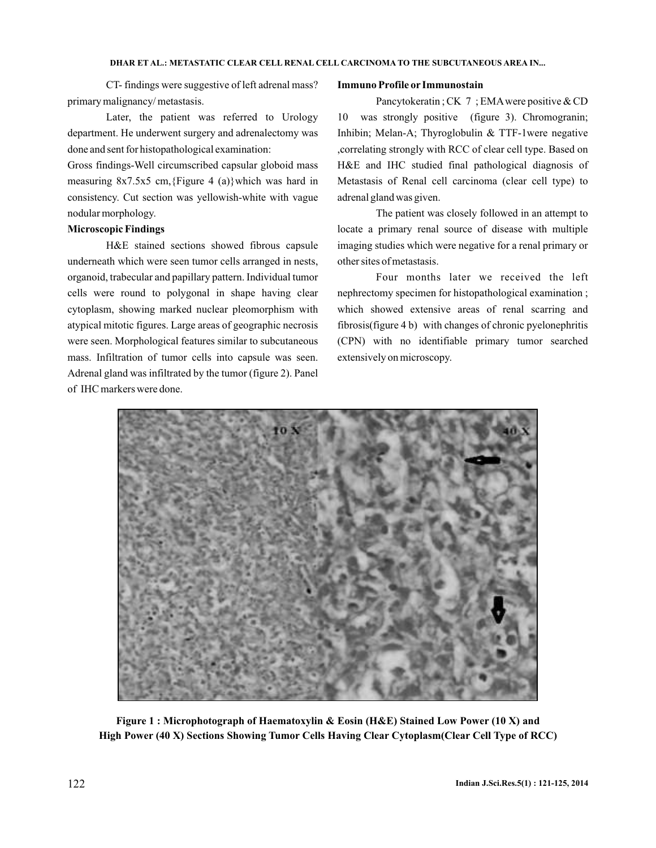#### **DHAR ET AL.: METASTATIC CLEAR CELL RENAL CELL CARCINOMA TO THE SUBCUTANEOUS AREA IN...**

CT- findings were suggestive of left adrenal mass? primary malignancy/ metastasis.

Later, the patient was referred to Urology department. He underwent surgery and adrenalectomy was done and sent for histopathological examination:

Gross findings-Well circumscribed capsular globoid mass measuring 8x7.5x5 cm,{Figure 4 (a)}which was hard in consistency. Cut section was yellowish-white with vague nodular morphology.

## **Microscopic Findings**

H&E stained sections showed fibrous capsule underneath which were seen tumor cells arranged in nests, organoid, trabecular and papillary pattern. Individual tumor cells were round to polygonal in shape having clear cytoplasm, showing marked nuclear pleomorphism with atypical mitotic figures. Large areas of geographic necrosis were seen. Morphological features similar to subcutaneous mass. Infiltration of tumor cells into capsule was seen. Adrenal gland was infiltrated by the tumor (figure 2). Panel of IHC markers were done.

#### **Immuno Profile or Immunostain**

Pancytokeratin ; CK 7 ; EMA were positive & CD 10 was strongly positive (figure 3). Chromogranin; Inhibin; Melan-A; Thyroglobulin & TTF-1were negative ,correlating strongly with RCC of clear cell type. Based on H&E and IHC studied final pathological diagnosis of Metastasis of Renal cell carcinoma (clear cell type) to adrenal gland was given.

The patient was closely followed in an attempt to locate a primary renal source of disease with multiple imaging studies which were negative for a renal primary or other sites of metastasis.

Four months later we received the left nephrectomy specimen for histopathological examination ; which showed extensive areas of renal scarring and fibrosis(figure 4 b) with changes of chronic pyelonephritis (CPN) with no identifiable primary tumor searched extensively on microscopy.



**Figure 1 : Microphotograph of Haematoxylin & Eosin (H&E) Stained Low Power (10 X) and High Power (40 X) Sections Showing Tumor Cells Having Clear Cytoplasm(Clear Cell Type of RCC)**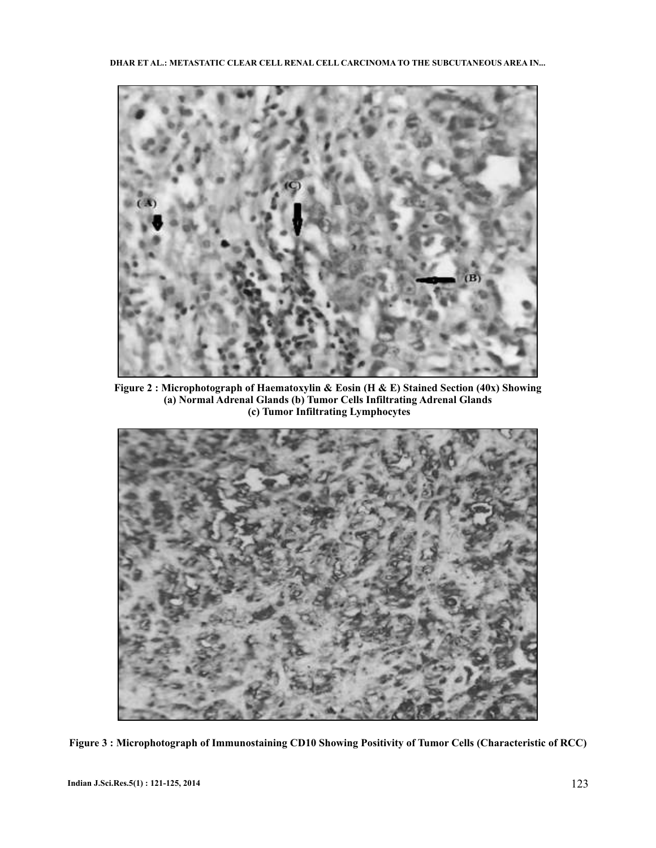

**Figure 2 : Microphotograph of Haematoxylin & Eosin (H & E) Stained Section (40x) Showing (a) Normal Adrenal Glands (b) Tumor Cells Infiltrating Adrenal Glands (c) Tumor Infiltrating Lymphocytes**



**Figure 3 : Microphotograph of Immunostaining CD10 Showing Positivity of Tumor Cells (Characteristic of RCC)**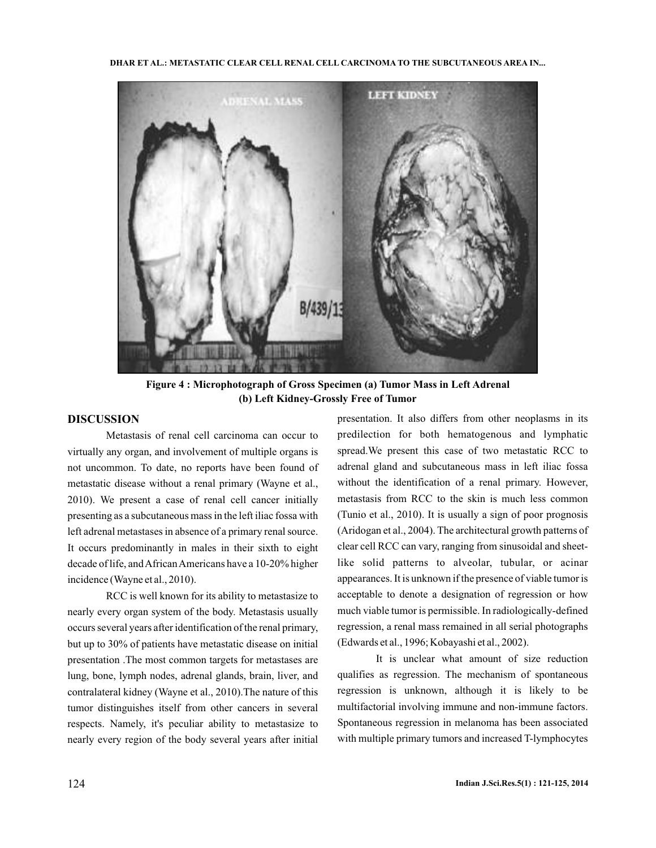**DHAR ET AL.: METASTATIC CLEAR CELL RENAL CELL CARCINOMA TO THE SUBCUTANEOUS AREA IN...**



**Figure 4 : Microphotograph of Gross Specimen (a) Tumor Mass in Left Adrenal (b) Left Kidney-Grossly Free of Tumor**

## **DISCUSSION**

Metastasis of renal cell carcinoma can occur to virtually any organ, and involvement of multiple organs is not uncommon. To date, no reports have been found of metastatic disease without a renal primary (Wayne et al., 2010). We present a case of renal cell cancer initially presenting as a subcutaneous mass in the left iliac fossa with left adrenal metastases in absence of a primary renal source. It occurs predominantly in males in their sixth to eight decade of life, and African Americans have a 10-20% higher incidence (Wayne et al., 2010).

RCC is well known for its ability to metastasize to nearly every organ system of the body. Metastasis usually occurs several years after identification of the renal primary, but up to 30% of patients have metastatic disease on initial presentation .The most common targets for metastases are lung, bone, lymph nodes, adrenal glands, brain, liver, and contralateral kidney (Wayne et al., 2010).The nature of this tumor distinguishes itself from other cancers in several respects. Namely, it's peculiar ability to metastasize to nearly every region of the body several years after initial

presentation. It also differs from other neoplasms in its predilection for both hematogenous and lymphatic spread.We present this case of two metastatic RCC to adrenal gland and subcutaneous mass in left iliac fossa without the identification of a renal primary. However, metastasis from RCC to the skin is much less common (Tunio et al., 2010). It is usually a sign of poor prognosis (Aridogan et al., 2004). The architectural growth patterns of clear cell RCC can vary, ranging from sinusoidal and sheetlike solid patterns to alveolar, tubular, or acinar appearances. It is unknown if the presence of viable tumor is acceptable to denote a designation of regression or how much viable tumor is permissible. In radiologically-defined regression, a renal mass remained in all serial photographs (Edwards et al., 1996; Kobayashi et al., 2002).

It is unclear what amount of size reduction qualifies as regression. The mechanism of spontaneous regression is unknown, although it is likely to be multifactorial involving immune and non-immune factors. Spontaneous regression in melanoma has been associated with multiple primary tumors and increased T-lymphocytes